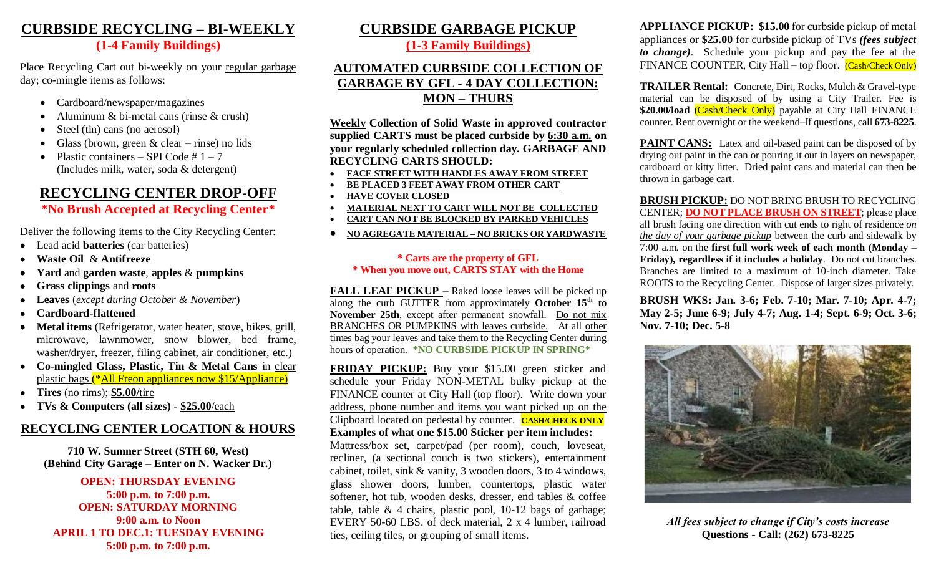### **CURBSIDE RECYCLING – BI-WEEKLY (1-4 Family Buildings)**

Place Recycling Cart out bi-weekly on your regular garbage day; co-mingle items as follows:

- Cardboard/newspaper/magazines
- Aluminum & bi-metal cans (rinse & crush)
- Steel (tin) cans (no aerosol)
- Glass (brown, green  $& clear \text{rinse}$ ) no lids
- Plastic containers SPI Code  $# 1 7$ (Includes milk, water, soda & detergent)

# **RECYCLING CENTER DROP-OFF**

### **\*No Brush Accepted at Recycling Center\***

Deliver the following items to the City Recycling Center:

- Lead acid **batteries** (car batteries)
- **Waste Oil** & **Antifreeze**
- **Yard** and **garden waste**, **apples** & **pumpkins**
- **Grass clippings** and **roots**
- **Leaves** (*except during October & November*)
- **Cardboard-flattened**
- **Metal items** (Refrigerator, water heater, stove, bikes, grill, microwave, lawnmower, snow blower, bed frame, washer/dryer, freezer, filing cabinet, air conditioner, etc.)
- **Co-mingled Glass, Plastic, Tin & Metal Cans** in clear plastic bags (\*All Freon appliances now \$15/Appliance)
- **Tires** (no rims); **\$5.00/**tire
- **TVs & Computers (all sizes) - \$25.00**/each

## **RECYCLING CENTER LOCATION & HOURS**

**710 W. Sumner Street (STH 60, West) (Behind City Garage – Enter on N. Wacker Dr.)**

**OPEN: THURSDAY EVENING 5:00 p.m. to 7:00 p.m. OPEN: SATURDAY MORNING 9:00 a.m. to Noon APRIL 1 TO DEC.1: TUESDAY EVENING 5:00 p.m. to 7:00 p.m.**

# **CURBSIDE GARBAGE PICKUP**

**(1-3 Family Buildings)**

#### **AUTOMATED CURBSIDE COLLECTION OF GARBAGE BY GFL - 4 DAY COLLECTION: MON – THURS**

**Weekly Collection of Solid Waste in approved contractor supplied CARTS must be placed curbside by 6:30 a.m. on your regularly scheduled collection day. GARBAGE AND RECYCLING CARTS SHOULD:**

- **FACE STREET WITH HANDLES AWAY FROM STREET**
- **BE PLACED 3 FEET AWAY FROM OTHER CART**
- **HAVE COVER CLOSED**
- **MATERIAL NEXT TO CART WILL NOT BE COLLECTED**
- **CART CAN NOT BE BLOCKED BY PARKED VEHICLES**
- **NO AGREGATE MATERIAL – NO BRICKS OR YARDWASTE**

#### **\* Carts are the property of GFL \* When you move out, CARTS STAY with the Home**

**FALL LEAF PICKUP** – Raked loose leaves will be picked up along the curb GUTTER from approximately **October 15th to November 25th**, except after permanent snowfall. Do not mix BRANCHES OR PUMPKINS with leaves curbside. At all other times bag your leaves and take them to the Recycling Center during hours of operation. **\*NO CURBSIDE PICKUP IN SPRING\*** 

**FRIDAY PICKUP:** Buy your \$15.00 green sticker and schedule your Friday NON-METAL bulky pickup at the FINANCE counter at City Hall (top floor). Write down your address, phone number and items you want picked up on the Clipboard located on pedestal by counter. **CASH/CHECK ONLY Examples of what one \$15.00 Sticker per item includes:**

Mattress/box set, carpet/pad (per room), couch, loveseat, recliner, (a sectional couch is two stickers), entertainment cabinet, toilet, sink & vanity, 3 wooden doors, 3 to 4 windows, glass shower doors, lumber, countertops, plastic water softener, hot tub, wooden desks, dresser, end tables & coffee table, table  $& 4$  chairs, plastic pool, 10-12 bags of garbage; EVERY 50-60 LBS. of deck material, 2 x 4 lumber, railroad ties, ceiling tiles, or grouping of small items.

**APPLIANCE PICKUP: \$15.00** for curbside pickup of metal appliances or **\$25.00** for curbside pickup of TVs *(fees subject to change)*. Schedule your pickup and pay the fee at the FINANCE COUNTER, City Hall – top floor. (Cash/Check Only)

**TRAILER Rental:** Concrete, Dirt, Rocks, Mulch & Gravel-type material can be disposed of by using a City Trailer. Fee is \$20.00/load Cash/Check Only) payable at City Hall FINANCE counter. Rent overnight or the weekend–If questions, call **673-8225**.

**PAINT CANS:** Latex and oil-based paint can be disposed of by drying out paint in the can or pouring it out in layers on newspaper, cardboard or kitty litter. Dried paint cans and material can then be thrown in garbage cart.

**BRUSH PICKUP:** DO NOT BRING BRUSH TO RECYCLING CENTER; **DO NOT PLACE BRUSH ON STREET**; please place all brush facing one direction with cut ends to right of residence *on the day of your garbage pickup* between the curb and sidewalk by 7:00 a.m. on the **first full work week of each month (Monday – Friday), regardless if it includes a holiday**. Do not cut branches. Branches are limited to a maximum of 10-inch diameter. Take ROOTS to the Recycling Center. Dispose of larger sizes privately.

**BRUSH WKS: Jan. 3-6; Feb. 7-10; Mar. 7-10; Apr. 4-7; May 2-5; June 6-9; July 4-7; Aug. 1-4; Sept. 6-9; Oct. 3-6; Nov. 7-10; Dec. 5-8**



*All fees subject to change if City's costs increase* **Questions - Call: (262) 673-8225**